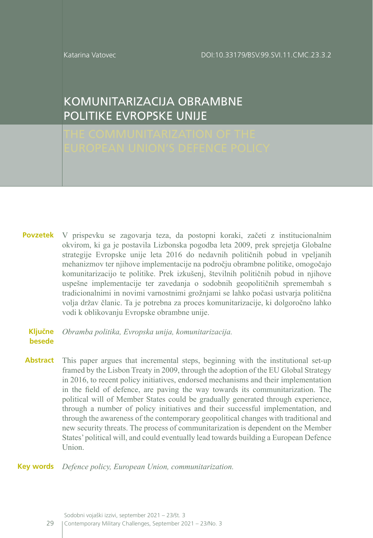Katarina Vatovec

# KOMUNITARIZACIJA OBRAMBNE POLITIKE EVROPSKE UNIJE

V prispevku se zagovarja teza, da postopni koraki, začeti z institucionalnim okvirom, ki ga je postavila Lizbonska pogodba leta 2009, prek sprejetja Globalne strategije Evropske unije leta 2016 do nedavnih političnih pobud in vpeljanih mehanizmov ter njihove implementacije na področju obrambne politike, omogočajo komunitarizacijo te politike. Prek izkušenj, številnih političnih pobud in njihove uspešne implementacije ter zavedanja o sodobnih geopolitičnih spremembah s tradicionalnimi in novimi varnostnimi grožnjami se lahko počasi ustvarja politična volja držav članic. Ta je potrebna za proces komunitarizacije, ki dolgoročno lahko vodi k oblikovanju Evropske obrambne unije. **Povzetek**

#### *Obramba politika, Evropska unija, komunitarizacija.* **Ključne besede**

This paper argues that incremental steps, beginning with the institutional set-up framed by the Lisbon Treaty in 2009, through the adoption of the EU Global Strategy in 2016, to recent policy initiatives, endorsed mechanisms and their implementation in the field of defence, are paving the way towards its communitarization. The political will of Member States could be gradually generated through experience, through a number of policy initiatives and their successful implementation, and through the awareness of the contemporary geopolitical changes with traditional and new security threats. The process of communitarization is dependent on the Member States' political will, and could eventually lead towards building a European Defence Union. **Abstract**

*Defence policy, European Union, communitarization.* **Key words**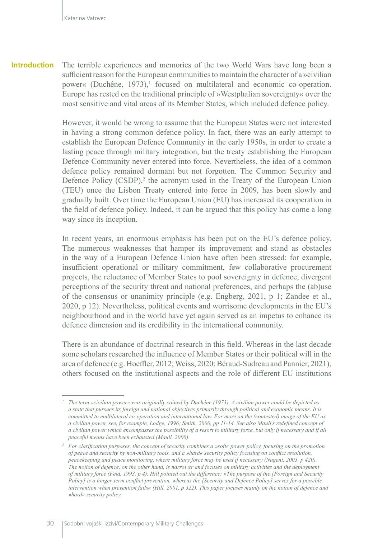**Introduction** The terrible experiences and memories of the two World Wars have long been a sufficient reason for the European communities to maintain the character of a »civilian power« (Duchêne, 1973),<sup>1</sup> focused on multilateral and economic co-operation. Europe has rested on the traditional principle of »Westphalian sovereignty« over the most sensitive and vital areas of its Member States, which included defence policy.

> However, it would be wrong to assume that the European States were not interested in having a strong common defence policy. In fact, there was an early attempt to establish the European Defence Community in the early 1950s, in order to create a lasting peace through military integration, but the treaty establishing the European Defence Community never entered into force. Nevertheless, the idea of a common defence policy remained dormant but not forgotten. The Common Security and Defence Policy (CSDP),<sup>2</sup> the acronym used in the Treaty of the European Union (TEU) once the Lisbon Treaty entered into force in 2009, has been slowly and gradually built. Over time the European Union (EU) has increased its cooperation in the field of defence policy. Indeed, it can be argued that this policy has come a long way since its inception.

> In recent years, an enormous emphasis has been put on the EU's defence policy. The numerous weaknesses that hamper its improvement and stand as obstacles in the way of a European Defence Union have often been stressed: for example, insufficient operational or military commitment, few collaborative procurement projects, the reluctance of Member States to pool sovereignty in defence, divergent perceptions of the security threat and national preferences, and perhaps the (ab)use of the consensus or unanimity principle (e.g. Engberg, 2021, p 1; Zandee et al., 2020, p 12). Nevertheless, political events and worrisome developments in the EU's neighbourhood and in the world have yet again served as an impetus to enhance its defence dimension and its credibility in the international community.

> There is an abundance of doctrinal research in this field. Whereas in the last decade some scholars researched the influence of Member States or their political will in the area of defence (e.g. Hoeffler, 2012; Weiss, 2020; Béraud-Sudreau and Pannier, 2021), others focused on the institutional aspects and the role of different EU institutions

*<sup>1</sup> The term »civilian power« was originally coined by Duchêne (1973). A civilian power could be depicted as a state that pursues its foreign and national objectives primarily through political and economic means. It is committed to multilateral co-operation and international law. For more on the (contested) image of the EU as a civilian power, see, for example, Lodge, 1996; Smith, 2000, pp 11-14. See also Maull's redefined concept of a civilian power which encompasses the possibility of a resort to military force, but only if necessary and if all peaceful means have been exhausted (Maull, 2000).*

*<sup>2</sup> For clarification purposes, the concept of security combines a »soft« power policy, focusing on the promotion of peace and security by non-military tools, and a »hard« security policy focusing on conflict resolution, peacekeeping and peace monitoring, where military force may be used if necessary (Nugent, 2003, p 420). The notion of defence, on the other hand, is narrower and focuses on military activities and the deployment of military force (Feld, 1993, p 4). Hill pointed out the difference: »The purpose of the [Foreign and Security Policy] is a longer-term conflict prevention, whereas the [Security and Defence Policy] serves for a possible intervention when prevention fails« (Hill, 2001, p 322). This paper focuses mainly on the notion of defence and »hard« security policy.*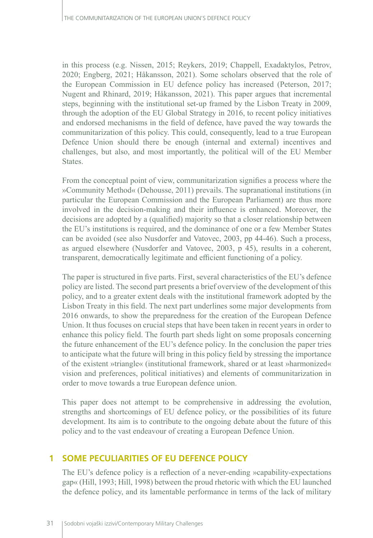in this process (e.g. Nissen, 2015; Reykers, 2019; Chappell, Exadaktylos, Petrov, 2020; Engberg, 2021; Håkansson, 2021). Some scholars observed that the role of the European Commission in EU defence policy has increased (Peterson, 2017; Nugent and Rhinard, 2019; Håkansson, 2021). This paper argues that incremental steps, beginning with the institutional set-up framed by the Lisbon Treaty in 2009, through the adoption of the EU Global Strategy in 2016, to recent policy initiatives and endorsed mechanisms in the field of defence, have paved the way towards the communitarization of this policy. This could, consequently, lead to a true European Defence Union should there be enough (internal and external) incentives and challenges, but also, and most importantly, the political will of the EU Member States.

From the conceptual point of view, communitarization signifies a process where the »Community Method« (Dehousse, 2011) prevails. The supranational institutions (in particular the European Commission and the European Parliament) are thus more involved in the decision-making and their influence is enhanced. Moreover, the decisions are adopted by a (qualified) majority so that a closer relationship between the EU's institutions is required, and the dominance of one or a few Member States can be avoided (see also Nusdorfer and Vatovec, 2003, pp 44-46). Such a process, as argued elsewhere (Nusdorfer and Vatovec, 2003, p 45), results in a coherent, transparent, democratically legitimate and efficient functioning of a policy.

The paper is structured in five parts. First, several characteristics of the EU's defence policy are listed. The second part presents a brief overview of the development of this policy, and to a greater extent deals with the institutional framework adopted by the Lisbon Treaty in this field. The next part underlines some major developments from 2016 onwards, to show the preparedness for the creation of the European Defence Union. It thus focuses on crucial steps that have been taken in recent years in order to enhance this policy field. The fourth part sheds light on some proposals concerning the future enhancement of the EU's defence policy. In the conclusion the paper tries to anticipate what the future will bring in this policy field by stressing the importance of the existent »triangle« (institutional framework, shared or at least »harmonized« vision and preferences, political initiatives) and elements of communitarization in order to move towards a true European defence union.

This paper does not attempt to be comprehensive in addressing the evolution, strengths and shortcomings of EU defence policy, or the possibilities of its future development. Its aim is to contribute to the ongoing debate about the future of this policy and to the vast endeavour of creating a European Defence Union.

# **1 SOME PECULIARITIES OF EU DEFENCE POLICY**

The EU's defence policy is a reflection of a never-ending »capability-expectations gap« (Hill, 1993; Hill, 1998) between the proud rhetoric with which the EU launched the defence policy, and its lamentable performance in terms of the lack of military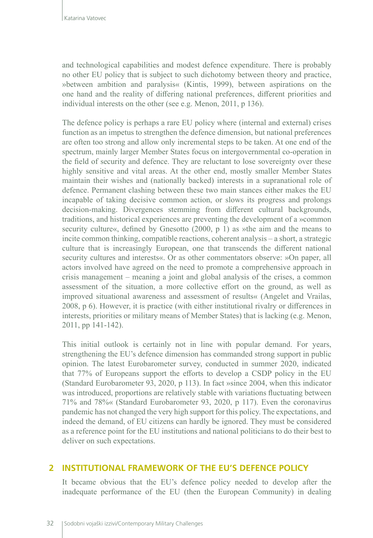and technological capabilities and modest defence expenditure. There is probably no other EU policy that is subject to such dichotomy between theory and practice, »between ambition and paralysis« (Kintis, 1999), between aspirations on the one hand and the reality of differing national preferences, different priorities and individual interests on the other (see e.g. Menon, 2011, p 136).

The defence policy is perhaps a rare EU policy where (internal and external) crises function as an impetus to strengthen the defence dimension, but national preferences are often too strong and allow only incremental steps to be taken. At one end of the spectrum, mainly larger Member States focus on intergovernmental co-operation in the field of security and defence. They are reluctant to lose sovereignty over these highly sensitive and vital areas. At the other end, mostly smaller Member States maintain their wishes and (nationally backed) interests in a supranational role of defence. Permanent clashing between these two main stances either makes the EU incapable of taking decisive common action, or slows its progress and prolongs decision-making. Divergences stemming from different cultural backgrounds, traditions, and historical experiences are preventing the development of a »common security culture«, defined by Gnesotto (2000, p 1) as »the aim and the means to incite common thinking, compatible reactions, coherent analysis – a short, a strategic culture that is increasingly European, one that transcends the different national security cultures and interests«. Or as other commentators observe: »On paper, all actors involved have agreed on the need to promote a comprehensive approach in crisis management – meaning a joint and global analysis of the crises, a common assessment of the situation, a more collective effort on the ground, as well as improved situational awareness and assessment of results« (Angelet and Vrailas, 2008, p 6). However, it is practice (with either institutional rivalry or differences in interests, priorities or military means of Member States) that is lacking (e.g. Menon, 2011, pp 141-142).

This initial outlook is certainly not in line with popular demand. For years, strengthening the EU's defence dimension has commanded strong support in public opinion. The latest Eurobarometer survey, conducted in summer 2020, indicated that 77% of Europeans support the efforts to develop a CSDP policy in the EU (Standard Eurobarometer 93, 2020, p 113). In fact »since 2004, when this indicator was introduced, proportions are relatively stable with variations fluctuating between 71% and 78%« (Standard Eurobarometer 93, 2020, p 117). Even the coronavirus pandemic has not changed the very high support for this policy. The expectations, and indeed the demand, of EU citizens can hardly be ignored. They must be considered as a reference point for the EU institutions and national politicians to do their best to deliver on such expectations.

### **2 INSTITUTIONAL FRAMEWORK OF THE EU'S DEFENCE POLICY**

It became obvious that the EU's defence policy needed to develop after the inadequate performance of the EU (then the European Community) in dealing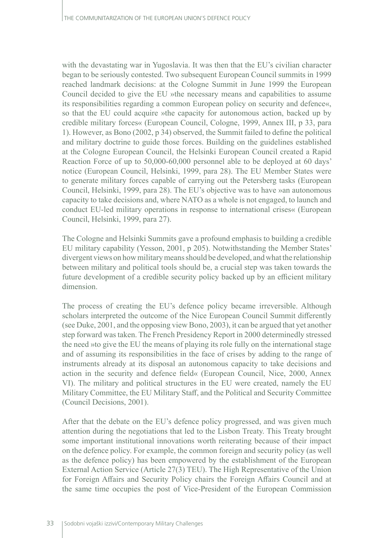with the devastating war in Yugoslavia. It was then that the EU's civilian character began to be seriously contested. Two subsequent European Council summits in 1999 reached landmark decisions: at the Cologne Summit in June 1999 the European Council decided to give the EU »the necessary means and capabilities to assume its responsibilities regarding a common European policy on security and defence«, so that the EU could acquire »the capacity for autonomous action, backed up by credible military forces« (European Council, Cologne, 1999, Annex III, p 33, para 1). However, as Bono (2002, p 34) observed, the Summit failed to define the political and military doctrine to guide those forces. Building on the guidelines established at the Cologne European Council, the Helsinki European Council created a Rapid Reaction Force of up to 50,000-60,000 personnel able to be deployed at 60 days' notice (European Council, Helsinki, 1999, para 28). The EU Member States were to generate military forces capable of carrying out the Petersberg tasks (European Council, Helsinki, 1999, para 28). The EU's objective was to have »an autonomous capacity to take decisions and, where NATO as a whole is not engaged, to launch and conduct EU-led military operations in response to international crises« (European Council, Helsinki, 1999, para 27).

The Cologne and Helsinki Summits gave a profound emphasis to building a credible EU military capability (Yesson, 2001, p 205). Notwithstanding the Member States' divergent views on how military means should be developed, and what the relationship between military and political tools should be, a crucial step was taken towards the future development of a credible security policy backed up by an efficient military dimension.

The process of creating the EU's defence policy became irreversible. Although scholars interpreted the outcome of the Nice European Council Summit differently (see Duke, 2001, and the opposing view Bono, 2003), it can be argued that yet another step forward was taken. The French Presidency Report in 2000 determinedly stressed the need »to give the EU the means of playing its role fully on the international stage and of assuming its responsibilities in the face of crises by adding to the range of instruments already at its disposal an autonomous capacity to take decisions and action in the security and defence field« (European Council, Nice, 2000, Annex VI). The military and political structures in the EU were created, namely the EU Military Committee, the EU Military Staff, and the Political and Security Committee (Council Decisions, 2001).

After that the debate on the EU's defence policy progressed, and was given much attention during the negotiations that led to the Lisbon Treaty. This Treaty brought some important institutional innovations worth reiterating because of their impact on the defence policy. For example, the common foreign and security policy (as well as the defence policy) has been empowered by the establishment of the European External Action Service (Article 27(3) TEU). The High Representative of the Union for Foreign Affairs and Security Policy chairs the Foreign Affairs Council and at the same time occupies the post of Vice-President of the European Commission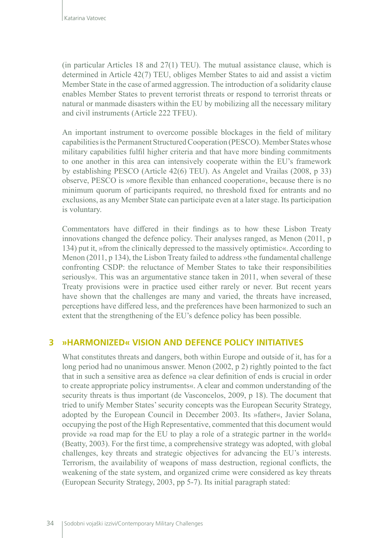(in particular Articles 18 and 27(1) TEU). The mutual assistance clause, which is determined in Article 42(7) TEU, obliges Member States to aid and assist a victim Member State in the case of armed aggression. The introduction of a solidarity clause enables Member States to prevent terrorist threats or respond to terrorist threats or natural or manmade disasters within the EU by mobilizing all the necessary military and civil instruments (Article 222 TFEU).

An important instrument to overcome possible blockages in the field of military capabilities is the Permanent Structured Cooperation (PESCO). Member States whose military capabilities fulfil higher criteria and that have more binding commitments to one another in this area can intensively cooperate within the EU's framework by establishing PESCO (Article 42(6) TEU). As Angelet and Vrailas (2008, p 33) observe, PESCO is »more flexible than enhanced cooperation«, because there is no minimum quorum of participants required, no threshold fixed for entrants and no exclusions, as any Member State can participate even at a later stage. Its participation is voluntary.

Commentators have differed in their findings as to how these Lisbon Treaty innovations changed the defence policy. Their analyses ranged, as Menon (2011, p 134) put it, »from the clinically depressed to the massively optimistic«. According to Menon (2011, p 134), the Lisbon Treaty failed to address »the fundamental challenge confronting CSDP: the reluctance of Member States to take their responsibilities seriously«. This was an argumentative stance taken in 2011, when several of these Treaty provisions were in practice used either rarely or never. But recent years have shown that the challenges are many and varied, the threats have increased, perceptions have differed less, and the preferences have been harmonized to such an extent that the strengthening of the EU's defence policy has been possible.

## **3 »HARMONIZED« VISION AND DEFENCE POLICY INITIATIVES**

What constitutes threats and dangers, both within Europe and outside of it, has for a long period had no unanimous answer. Menon (2002, p 2) rightly pointed to the fact that in such a sensitive area as defence »a clear definition of ends is crucial in order to create appropriate policy instruments«. A clear and common understanding of the security threats is thus important (de Vasconcelos, 2009, p 18). The document that tried to unify Member States' security concepts was the European Security Strategy, adopted by the European Council in December 2003. Its »father«, Javier Solana, occupying the post of the High Representative, commented that this document would provide »a road map for the EU to play a role of a strategic partner in the world« (Beatty, 2003). For the first time, a comprehensive strategy was adopted, with global challenges, key threats and strategic objectives for advancing the EU's interests. Terrorism, the availability of weapons of mass destruction, regional conflicts, the weakening of the state system, and organized crime were considered as key threats (European Security Strategy, 2003, pp 5-7). Its initial paragraph stated: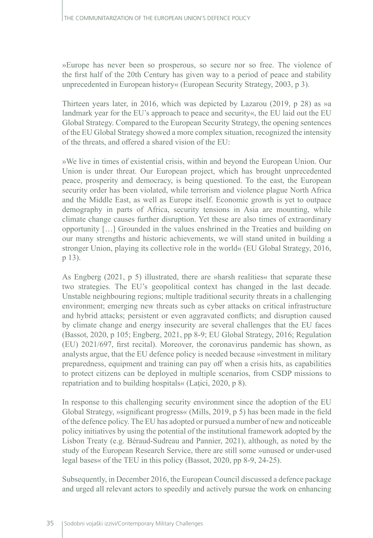»Europe has never been so prosperous, so secure nor so free. The violence of the first half of the 20th Century has given way to a period of peace and stability unprecedented in European history« (European Security Strategy, 2003, p 3).

Thirteen years later, in 2016, which was depicted by Lazarou (2019, p 28) as »a landmark year for the EU's approach to peace and security«, the EU laid out the EU Global Strategy. Compared to the European Security Strategy, the opening sentences of the EU Global Strategy showed a more complex situation, recognized the intensity of the threats, and offered a shared vision of the EU:

»We live in times of existential crisis, within and beyond the European Union. Our Union is under threat. Our European project, which has brought unprecedented peace, prosperity and democracy, is being questioned. To the east, the European security order has been violated, while terrorism and violence plague North Africa and the Middle East, as well as Europe itself. Economic growth is yet to outpace demography in parts of Africa, security tensions in Asia are mounting, while climate change causes further disruption. Yet these are also times of extraordinary opportunity […] Grounded in the values enshrined in the Treaties and building on our many strengths and historic achievements, we will stand united in building a stronger Union, playing its collective role in the world« (EU Global Strategy, 2016, p 13).

As Engberg (2021, p 5) illustrated, there are »harsh realities« that separate these two strategies. The EU's geopolitical context has changed in the last decade. Unstable neighbouring regions; multiple traditional security threats in a challenging environment; emerging new threats such as cyber attacks on critical infrastructure and hybrid attacks; persistent or even aggravated conflicts; and disruption caused by climate change and energy insecurity are several challenges that the EU faces (Bassot, 2020, p 105; Engberg, 2021, pp 8-9; EU Global Strategy, 2016; Regulation (EU) 2021/697, first recital). Moreover, the coronavirus pandemic has shown, as analysts argue, that the EU defence policy is needed because »investment in military preparedness, equipment and training can pay off when a crisis hits, as capabilities to protect citizens can be deployed in multiple scenarios, from CSDP missions to repatriation and to building hospitals« (Laţici, 2020, p 8).

In response to this challenging security environment since the adoption of the EU Global Strategy, »significant progress« (Mills, 2019, p 5) has been made in the field of the defence policy. The EU has adopted or pursued a number of new and noticeable policy initiatives by using the potential of the institutional framework adopted by the Lisbon Treaty (e.g. Béraud-Sudreau and Pannier, 2021), although, as noted by the study of the European Research Service, there are still some »unused or under-used legal bases« of the TEU in this policy (Bassot, 2020, pp 8-9, 24-25).

Subsequently, in December 2016, the European Council discussed a defence package and urged all relevant actors to speedily and actively pursue the work on enhancing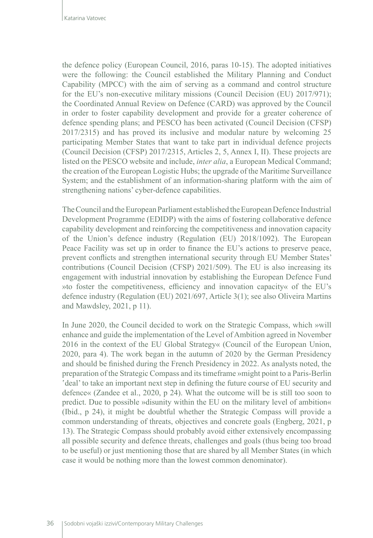the defence policy (European Council, 2016, paras 10-15). The adopted initiatives were the following: the Council established the Military Planning and Conduct Capability (MPCC) with the aim of serving as a command and control structure for the EU's non-executive military missions (Council Decision (EU) 2017/971); the Coordinated Annual Review on Defence (CARD) was approved by the Council in order to foster capability development and provide for a greater coherence of defence spending plans; and PESCO has been activated (Council Decision (CFSP) 2017/2315) and has proved its inclusive and modular nature by welcoming 25 participating Member States that want to take part in individual defence projects (Council Decision (CFSP) 2017/2315, Articles 2, 5, Annex I, II). These projects are listed on the PESCO website and include, *inter alia*, a European Medical Command; the creation of the European Logistic Hubs; the upgrade of the Maritime Surveillance System; and the establishment of an information-sharing platform with the aim of strengthening nations' cyber-defence capabilities.

The Council and the European Parliament established the European Defence Industrial Development Programme (EDIDP) with the aims of fostering collaborative defence capability development and reinforcing the competitiveness and innovation capacity of the Union's defence industry (Regulation (EU) 2018/1092). The European Peace Facility was set up in order to finance the EU's actions to preserve peace, prevent conflicts and strengthen international security through EU Member States' contributions (Council Decision (CFSP) 2021/509). The EU is also increasing its engagement with industrial innovation by establishing the European Defence Fund »to foster the competitiveness, efficiency and innovation capacity« of the EU's defence industry (Regulation (EU) 2021/697, Article 3(1); see also Oliveira Martins and Mawdsley, 2021, p 11).

In June 2020, the Council decided to work on the Strategic Compass, which »will enhance and guide the implementation of the Level of Ambition agreed in November 2016 in the context of the EU Global Strategy« (Council of the European Union, 2020, para 4). The work began in the autumn of 2020 by the German Presidency and should be finished during the French Presidency in 2022. As analysts noted, the preparation of the Strategic Compass and its timeframe »might point to a Paris-Berlin deal' to take an important next step in defining the future course of EU security and defence« (Zandee et al., 2020, p 24). What the outcome will be is still too soon to predict. Due to possible »disunity within the EU on the military level of ambition« (Ibid., p 24), it might be doubtful whether the Strategic Compass will provide a common understanding of threats, objectives and concrete goals (Engberg, 2021, p 13). The Strategic Compass should probably avoid either extensively encompassing all possible security and defence threats, challenges and goals (thus being too broad to be useful) or just mentioning those that are shared by all Member States (in which case it would be nothing more than the lowest common denominator).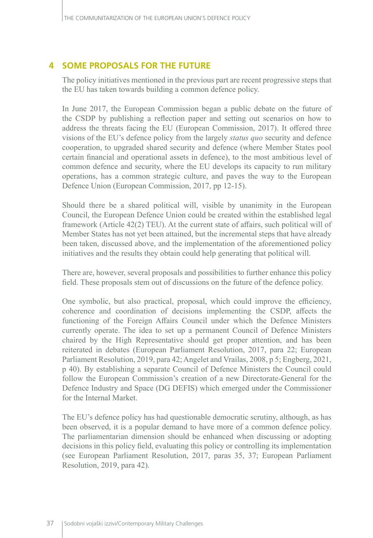### **4 SOME PROPOSALS FOR THE FUTURE**

The policy initiatives mentioned in the previous part are recent progressive steps that the EU has taken towards building a common defence policy.

In June 2017, the European Commission began a public debate on the future of the CSDP by publishing a reflection paper and setting out scenarios on how to address the threats facing the EU (European Commission, 2017). It offered three visions of the EU's defence policy from the largely *status quo* security and defence cooperation, to upgraded shared security and defence (where Member States pool certain financial and operational assets in defence), to the most ambitious level of common defence and security, where the EU develops its capacity to run military operations, has a common strategic culture, and paves the way to the European Defence Union (European Commission, 2017, pp 12-15).

Should there be a shared political will, visible by unanimity in the European Council, the European Defence Union could be created within the established legal framework (Article 42(2) TEU). At the current state of affairs, such political will of Member States has not yet been attained, but the incremental steps that have already been taken, discussed above, and the implementation of the aforementioned policy initiatives and the results they obtain could help generating that political will.

There are, however, several proposals and possibilities to further enhance this policy field. These proposals stem out of discussions on the future of the defence policy.

One symbolic, but also practical, proposal, which could improve the efficiency, coherence and coordination of decisions implementing the CSDP, affects the functioning of the Foreign Affairs Council under which the Defence Ministers currently operate. The idea to set up a permanent Council of Defence Ministers chaired by the High Representative should get proper attention, and has been reiterated in debates (European Parliament Resolution, 2017, para 22; European Parliament Resolution, 2019, para 42; Angelet and Vrailas, 2008, p 5; Engberg, 2021, p 40). By establishing a separate Council of Defence Ministers the Council could follow the European Commission's creation of a new Directorate-General for the Defence Industry and Space (DG DEFIS) which emerged under the Commissioner for the Internal Market.

The EU's defence policy has had questionable democratic scrutiny, although, as has been observed, it is a popular demand to have more of a common defence policy. The parliamentarian dimension should be enhanced when discussing or adopting decisions in this policy field, evaluating this policy or controlling its implementation (see European Parliament Resolution, 2017, paras 35, 37; European Parliament Resolution, 2019, para 42).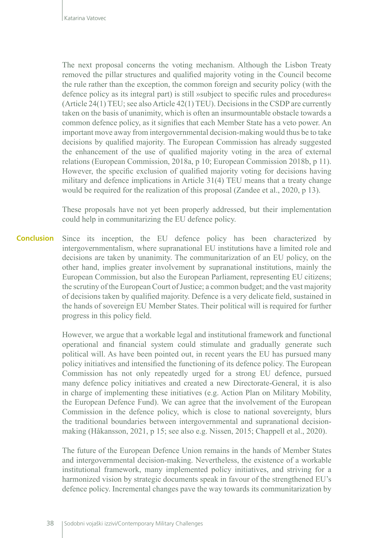The next proposal concerns the voting mechanism. Although the Lisbon Treaty removed the pillar structures and qualified majority voting in the Council become the rule rather than the exception, the common foreign and security policy (with the defence policy as its integral part) is still »subject to specific rules and procedures« (Article 24(1) TEU; see also Article 42(1) TEU). Decisions in the CSDP are currently taken on the basis of unanimity, which is often an insurmountable obstacle towards a common defence policy, as it signifies that each Member State has a veto power. An important move away from intergovernmental decision-making would thus be to take decisions by qualified majority. The European Commission has already suggested the enhancement of the use of qualified majority voting in the area of external relations (European Commission, 2018a, p 10; European Commission 2018b, p 11). However, the specific exclusion of qualified majority voting for decisions having military and defence implications in Article 31(4) TEU means that a treaty change would be required for the realization of this proposal (Zandee et al., 2020, p 13).

These proposals have not yet been properly addressed, but their implementation could help in communitarizing the EU defence policy.

Since its inception, the EU defence policy has been characterized by intergovernmentalism, where supranational EU institutions have a limited role and decisions are taken by unanimity. The communitarization of an EU policy, on the other hand, implies greater involvement by supranational institutions, mainly the European Commission, but also the European Parliament, representing EU citizens; the scrutiny of the European Court of Justice; a common budget; and the vast majority of decisions taken by qualified majority. Defence is a very delicate field, sustained in the hands of sovereign EU Member States. Their political will is required for further progress in this policy field. **Conclusion**

> However, we argue that a workable legal and institutional framework and functional operational and financial system could stimulate and gradually generate such political will. As have been pointed out, in recent years the EU has pursued many policy initiatives and intensified the functioning of its defence policy. The European Commission has not only repeatedly urged for a strong EU defence, pursued many defence policy initiatives and created a new Directorate-General, it is also in charge of implementing these initiatives (e.g. Action Plan on Military Mobility, the European Defence Fund). We can agree that the involvement of the European Commission in the defence policy, which is close to national sovereignty, blurs the traditional boundaries between intergovernmental and supranational decisionmaking (Håkansson, 2021, p 15; see also e.g. Nissen, 2015; Chappell et al., 2020).

> The future of the European Defence Union remains in the hands of Member States and intergovernmental decision-making. Nevertheless, the existence of a workable institutional framework, many implemented policy initiatives, and striving for a harmonized vision by strategic documents speak in favour of the strengthened EU's defence policy. Incremental changes pave the way towards its communitarization by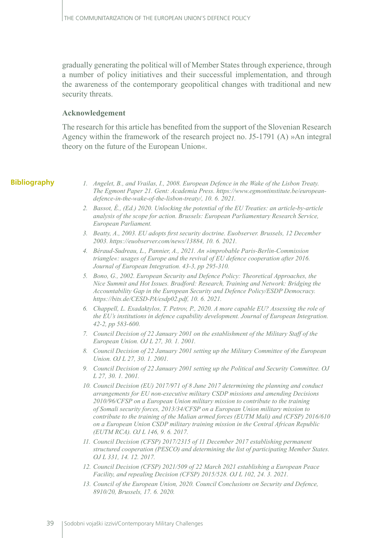gradually generating the political will of Member States through experience, through a number of policy initiatives and their successful implementation, and through the awareness of the contemporary geopolitical changes with traditional and new security threats.

#### **Acknowledgement**

The research for this article has benefited from the support of the Slovenian Research Agency within the framework of the research project no. J5-1791 (A) »An integral theory on the future of the European Union«.

#### **Bibliography**

- *1. Angelet, B., and Vrailas, I., 2008. European Defence in the Wake of the Lisbon Treaty. The Egmont Paper 21. Gent: Academia Press. [https://www.egmontinstitute.be/european](https://www.egmontinstitute.be/european-defence-in-the-wake-of-the-lisbon-treaty/)[defence-in-the-wake-of-the-lisbon-treaty/,](https://www.egmontinstitute.be/european-defence-in-the-wake-of-the-lisbon-treaty/) 10. 6. 2021.*
- *2. Bassot, É., (Ed.) 2020. Unlocking the potential of the EU Treaties: an article-by-article analysis of the scope for action. Brussels: European Parliamentary Research Service, European Parliament.*
- *3. Beatty, A., 2003. EU adopts first security doctrine. Euobserver. Brussels, 12 December 2003.<https://euobserver.com/news/13884>, 10. 6. 2021.*
- *4. Béraud-Sudreau, L., Pannier, A., 2021. An »improbable Paris-Berlin-Commission triangle«: usages of Europe and the revival of EU defence cooperation after 2016. Journal of European Integration. 43-3, pp 295-310.*
- *5. Bono, G., 2002. European Security and Defence Policy: Theoretical Approaches, the Nice Summit and Hot Issues. Bradford: Research, Training and Network: Bridging the Accountability Gap in the European Security and Defence Policy/ESDP Democracy. <https://bits.de/CESD-PA/esdp02.pdf>, 10. 6. 2021.*
- *6. Chappell, L. Exadaktylos, T. Petrov, P., 2020. A more capable EU? Assessing the role of the EU's institutions in defence capability development. Journal of European Integration. 42-2, pp 583-600.*
- *7. Council Decision of 22 January 2001 on the establishment of the Military Staff of the European Union. OJ L 27, 30. 1. 2001.*
- *8. Council Decision of 22 January 2001 setting up the Military Committee of the European Union. OJ L 27, 30. 1. 2001.*
- *9. Council Decision of 22 January 2001 setting up the Political and Security Committee. OJ L 27, 30. 1. 2001.*
- *10. Council Decision (EU) 2017/971 of 8 June 2017 determining the planning and conduct arrangements for EU non-executive military CSDP missions and amending Decisions 2010/96/CFSP on a European Union military mission to contribute to the training of Somali security forces, 2013/34/CFSP on a European Union military mission to contribute to the training of the Malian armed forces (EUTM Mali) and (CFSP) 2016/610 on a European Union CSDP military training mission in the Central African Republic (EUTM RCA). OJ L 146, 9. 6. 2017.*
- *11. Council Decision (CFSP) 2017/2315 of 11 December 2017 establishing permanent structured cooperation (PESCO) and determining the list of participating Member States. OJ L 331, 14. 12. 2017.*
- *12. Council Decision (CFSP) 2021/509 of 22 March 2021 establishing a European Peace Facility, and repealing Decision (CFSP) 2015/528. OJ L 102, 24. 3. 2021.*
- *13. Council of the European Union, 2020. Council Conclusions on Security and Defence, 8910/20, Brussels, 17. 6. 2020.*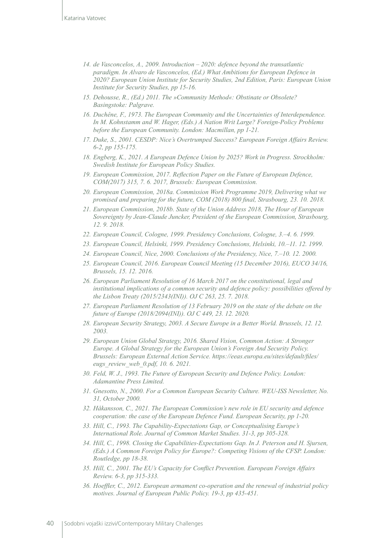- *14. de Vasconcelos, A., 2009. Introduction 2020: defence beyond the transatlantic paradigm. In Alvaro de Vasconcelos, (Ed.) What Ambitions for European Defence in 2020? European Union Institute for Security Studies, 2nd Edition, Paris: European Union Institute for Security Studies, pp 15-16.*
- *15. Dehousse, R., (Ed.) 2011. The »Community Method«: Obstinate or Obsolete? Basingstoke: Palgrave.*
- *16. Duchêne, F., 1973. The European Community and the Uncertainties of Interdependence. In M. Kohnstamm and W. Hager, (Eds.) A Nation Writ Large? Foreign-Policy Problems before the European Community. London: Macmillan, pp 1-21.*
- *17. Duke, S., 2001. CESDP: Nice's Overtrumped Success? European Foreign Affairs Review. 6-2, pp 155-175.*
- *18. Engberg, K., 2021. A European Defence Union by 2025? Work in Progress. Strockholm: Swedish Institute for European Policy Studies.*
- *19. European Commission, 2017. Reflection Paper on the Future of European Defence, COM(2017) 315, 7. 6. 2017, Brussels: European Commission.*
- *20. European Commission, 2018a. Commission Work Programme 2019, Delivering what we promised and preparing for the future, COM (2018) 800 final, Strasbourg, 23. 10. 2018.*
- *21. European Commission, 2018b. State of the Union Address 2018, The Hour of European Sovereignty by Jean-Claude Juncker, President of the European Commission, Strasbourg, 12. 9. 2018.*
- *22. European Council, Cologne, 1999. Presidency Conclusions, Cologne, 3.–4. 6. 1999.*
- *23. European Council, Helsinki, 1999. Presidency Conclusions, Helsinki, 10.–11. 12. 1999.*
- *24. European Council, Nice, 2000. Conclusions of the Presidency, Nice, 7.–10. 12. 2000.*
- *25. European Council, 2016. European Council Meeting (15 December 2016), EUCO 34/16, Brussels, 15. 12. 2016.*
- *26. European Parliament Resolution of 16 March 2017 on the constitutional, legal and institutional implications of a common security and defence policy: possibilities offered by the Lisbon Treaty (2015/2343(INI)). OJ C 263, 25. 7. 2018.*
- *27. European Parliament Resolution of 13 February 2019 on the state of the debate on the future of Europe ([2018/2094\(INI\)](https://oeil.secure.europarl.europa.eu/oeil/popups/ficheprocedure.do?lang=en&reference=2018/2094(INI))). OJ C 449, 23. 12. 2020.*
- *28. European Security Strategy, 2003. A Secure Europe in a Better World. Brussels, 12. 12. 2003.*
- *29. European Union Global Strategy, 2016. Shared Vision, Common Action: A Stronger Europe. A Global Strategy for the European Union's Foreign And Security Policy. Brussels: European External Action Service. [https://eeas.europa.eu/sites/default/files/](https://eeas.europa.eu/sites/default/files/eugs_review_web_0.pdf) [eugs\\_review\\_web\\_0.pdf,](https://eeas.europa.eu/sites/default/files/eugs_review_web_0.pdf) 10. 6. 2021.*
- *30. Feld, W. J., 1993. The Future of European Security and Defence Policy. London: Adamantine Press Limited.*
- *31. Gnesotto, N., 2000. For a Common European Security Culture. WEU-ISS Newsletter, No. 31, October 2000.*
- *32. Håkansson, C., 2021. The European Commission's new role in EU security and defence cooperation: the case of the European Defence Fund. European Security, pp 1-20.*
- *33. Hill, C., 1993. The Capability-Expectations Gap, or Conceptualising Europe's International Role. Journal of Common Market Studies. 31-3, pp 305-328.*
- *34. Hill, C., 1998. Closing the Capabilities-Expectations Gap. In J. Peterson and H. Sjursen, (Eds.) A Common Foreign Policy for Europe?: Competing Visions of the CFSP. London: Routledge, pp 18-38.*
- *35. Hill, C., 2001. The EU's Capacity for Conflict Prevention. European Foreign Affairs Review. 6-3, pp 315-333.*
- *36. Hoeffler, C., 2012. European armament co-operation and the renewal of industrial policy motives. Journal of European Public Policy. 19-3, pp 435-451.*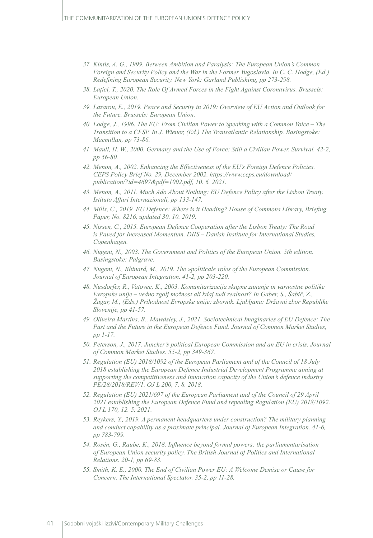- *37. Kintis, A. G., 1999. Between Ambition and Paralysis: The European Union's Common Foreign and Security Policy and the War in the Former Yugoslavia. In C. C. Hodge, (Ed.) Redefining European Security. New York: Garland Publishing, pp 273-298.*
- *38. Laţici, T., 2020. The Role Of Armed Forces in the Fight Against Coronavirus. Brussels: European Union.*
- *39. Lazarou, E., 2019. Peace and Security in 2019: Overview of EU Action and Outlook for the Future. Brussels: European Union.*
- *40. Lodge, J., 1996. The EU: From Civilian Power to Speaking with a Common Voice The Transition to a CFSP. In J. Wiener, (Ed.) The Transatlantic Relationship. Basingstoke: Macmillan, pp 73-86.*
- *41. Maull, H. W., 2000. Germany and the Use of Force: Still a Civilian Power. Survival. 42-2, pp 56-80.*
- *42. Menon, A., 2002. Enhancing the Effectiveness of the EU's Foreign Defence Policies. CEPS Policy Brief No. 29, December 2002. [https://www.ceps.eu/download/](https://www.ceps.eu/download/publication/?id=4697&pdf=1002.pdf) [publication/?id=4697&pdf=1002.pdf,](https://www.ceps.eu/download/publication/?id=4697&pdf=1002.pdf) 10. 6. 2021.*
- *43. Menon, A., 2011. Much Ado About Nothing: EU Defence Policy after the Lisbon Treaty. Istituto Affari Internazionali, pp 133-147.*
- *44. Mills, C., 2019. EU Defence: Where is it Heading? House of Commons Library, Briefing Paper, No. 8216, updated 30. 10. 2019.*
- *45. Nissen, C., 2015. European Defence Cooperation after the Lisbon Treaty: The Road is Paved for Increased Momentum. DIIS – Danish Institute for International Studies, Copenhagen.*
- *46. Nugent, N., 2003. The Government and Politics of the European Union. 5th edition. Basingstoke: Palgrave.*
- *47. Nugent, N., Rhinard, M., 2019. The »political« roles of the European Commission. Journal of European Integration. 41-2, pp 203-220.*
- *48. Nusdorfer, R., Vatovec, K., 2003. Komunitarizacija skupne zunanje in varnostne politike Evropske unije – vedno zgolj možnost ali kdaj tudi realnost? In Gaber, S., Šabič, Z., Žagar, M., (Eds.) Prihodnost Evropske unije: zbornik. Ljubljana: Državni zbor Republike Slovenije, pp 41-57.*
- *49. Oliveira Martins, B., Mawdsley, J., 2021. Sociotechnical Imaginaries of EU Defence: The*  Past and the Future in the European Defence Fund. Journal of Common Market Studies, *pp 1-17.*
- *50. Peterson, J., 2017. Juncker's political European Commission and an EU in crisis. Journal of Common Market Studies. 55-2, pp 349-367.*
- *51. Regulation (EU) 2018/1092 of the European Parliament and of the Council of 18 July 2018 establishing the European Defence Industrial Development Programme aiming at supporting the competitiveness and innovation capacity of the Union's defence industry PE/28/2018/REV/1. OJ L 200, 7. 8. 2018.*
- *52. Regulation (EU) 2021/697 of the European Parliament and of the Council of 29 April 2021 establishing the European Defence Fund and repealing Regulation (EU) 2018/1092. OJ L 170, 12. 5. 2021.*
- *53. Reykers, Y., 2019. A permanent headquarters under construction? The military planning and conduct capability as a proximate principal. Journal of European Integration. 41-6, pp 783-799.*
- *54. Rosén, G., Raube, K., 2018. Influence beyond formal powers: the parliamentarisation of European Union security policy. The British Journal of Politics and International Relations. 20-1, pp 69-83.*
- *55. Smith, K. E., 2000. The End of Civilian Power EU: A Welcome Demise or Cause for Concern. The International Spectator. 35-2, pp 11-28.*